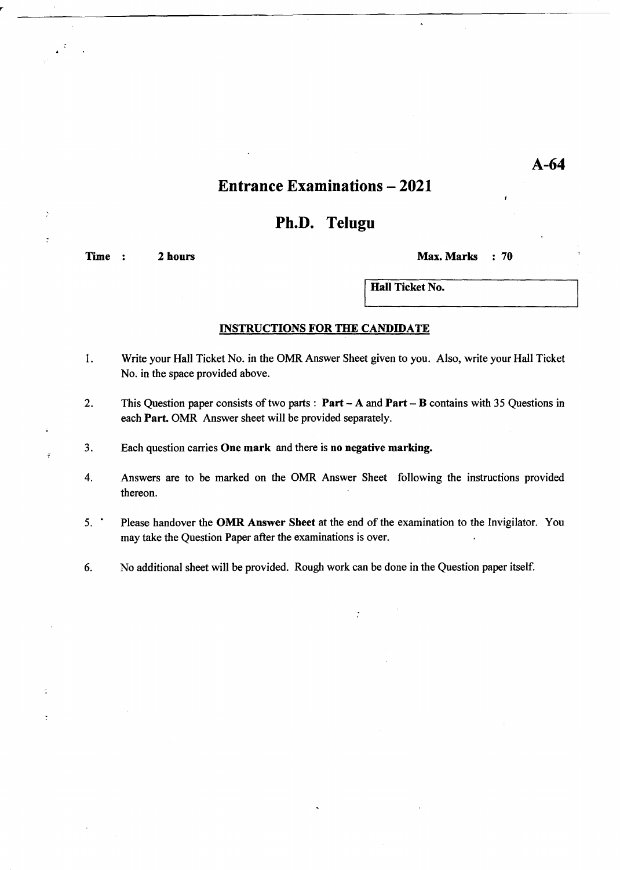## **Entrance Examinations - 2021**

### Ph.D. Telugu

Time : 2 hours Max. Marks : 70

ż

Hall Ticket No.

#### INSTRUCTIONS FOR THE CANDIDATE

- 1. Write your Hall Ticket No. in the OMR Answer Sheet given to you. Also, write your Hall Ticket No. in the space provided above.
- 2. This Question paper consists of two parts: Part A and Part B contains with 35 Questions in each Part. OMR Answer sheet will be provided separately.
- 3. Each question carries One mark and there is no negative marking.
- 4. Answers are to be marked on the OMR Answer Sheet following the instructions provided thereon.
- 5.' Please handover the OMR Answer Sheet at the end of the examination to the Invigilator. You may take the Question Paper after the examinations is over.

 $\ddot{\cdot}$ 

6. No additional sheet will be provided. Rough work can be done in the Question paper itself.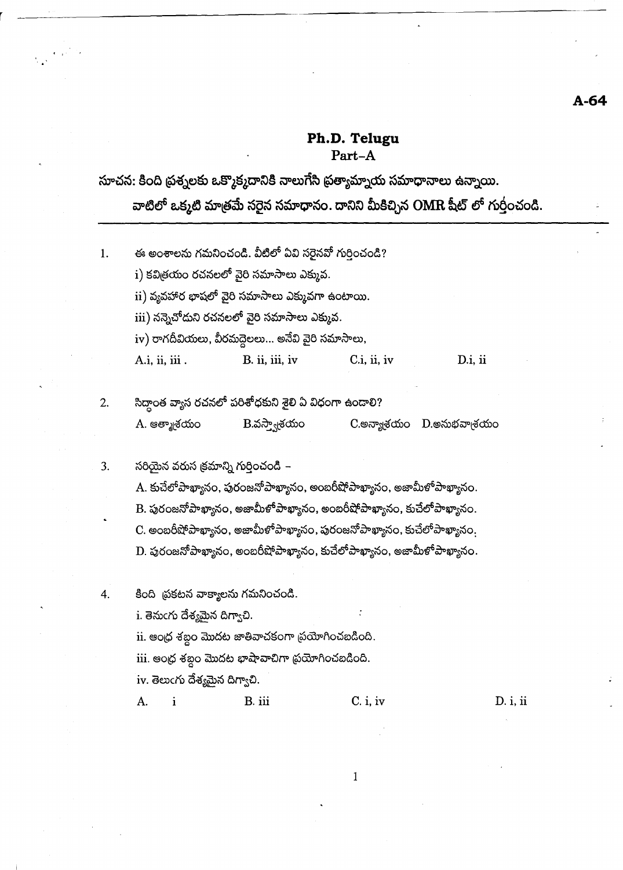### Ph.D. Telugu Part-A

## సూచన: కింది ప్రశ్నలకు ఒక్కొక్మదానికి నాలుగేసి ప్రత్యామ్నాయ సమాధానాలు ఉన్నాయి.

వాటిలో ఒక్కటి మాత్రమే సరైన సమాధానం. దానిని మీకిచ్చిన OMR షీట్ లో గుర్తంచండి.

- ఈ అంశాలను గమనించండి. వీటిలో ఏవి సరైనవో గుర్తించండి?  $1.$ i) కవిత్రయం రచనలలో వైరి సమాసాలు ఎక్కువ.  $\,$ ii) వ్యవహార భాషలో వైరి సమాసాలు ఎక్కువగా ఉంటాయి. iii) నన్నెచోదుని రచనలలో వైరి సమాసాలు ఎక్కువ. iv) రాగదీవియలు, వీరమద్దెలలు... అనేవి వైరి సమాసాలు, A.i. ii, iii. B. ii, iii, iv  $C.i, ii, iv$ D.i, ii
- సిద్ధాంత వ్యాస రచనలో పరిశోధకుని శైలి ఏ విధంగా ఉండాలి?  $2.$  $B$ .వస్త్వాశయం A. ఆత్మాశయం  $C$ .అన్యాశ్రయం  $D$ .అనుభవాశ్రయం
- సరియైన వరుస క్రమాన్ని గుర్తించండి 3.

 $\left\langle \epsilon_{\rm eff} \right\rangle$ 

- A. కుచేలో పాఖ్యానం, పురంజనో పాఖ్యానం, అంబరీషో పాఖ్యానం, అజామీళో పాఖ్యానం.
- $\, {\bf B}$ . పురంజనోపాఖ్యానం, అజామీళోపాఖ్యానం, అంబరీషోపాఖ్యానం, కుచేలోపాఖ్యానం.
- $C$ . అంబరీషోపాఖ్యానం, అజామీళోపాఖ్యానం, పురంజనోపాఖ్యానం, కుచేలోపాఖ్యానం.

 $\mathbf D$ . పురంజనోపాఖ్యానం, అంబరీషోపాఖ్యానం, కుచేలోపాఖ్యానం, అజామీళోపాఖ్యానం.

కింది చ్రకటన వాక్యాలను గమనించండి.

i. తెనుంగు దేశ్యమైన దిగ్వాచి.

ii. ఆంధ్ర శబ్దం మొదట జాతివాచకంగా చ్రయోగించబడింది.

iii. ఆంధ్ర శబ్దం మొదట భాషావాచిగా ప్రయోగించబడింది.

B. iii

iv. తెలుంగు దేశ్యమైన దిగ్యాచి.

A.  $\mathbf{i}$ 

4.

### $C. i, iv$

 $D. i, ii$ 

 $\mathbf{1}$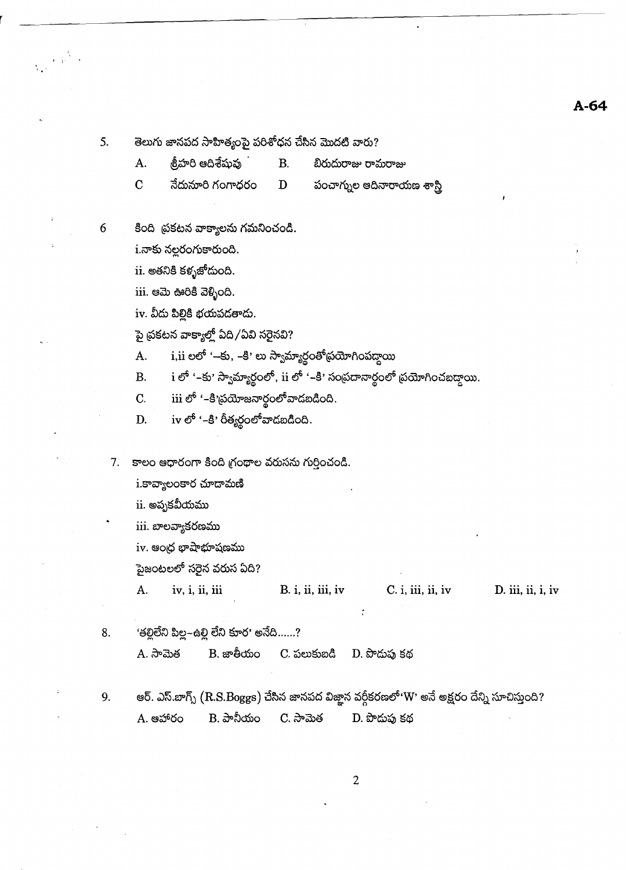#### $A - 64$

తెలుగు జానపద సాహిత్యంపై పరిశోధన చేసిన మొదటి వారు?

<u> శ్ర</u>ీహరి ఆదిశేషువు A.

బిరుదురాజు రామరాజు

 $\overline{C}$ నేదునూరి గంగాధరం పంచాగ్నుల ఆదినారాయణ శాస్త్రి

కింది త్రకటన వాక్యాలను గమనించండి.

 $i$ .నాకు నల్లరంగుకారుంది.

ii. అతనికి కళ్ళజోదుంది.

iii. ఆమె ఊరికి వెళ్ళింది.

iv. వీదు పిల్లికి భయపడతాదు.

పై ప్రకటన వాక్యాల్లో ఏది /ఏవి సరైనవి?

i,ii లలో '–కు, –కి' లు స్వామ్యార్థంతోథయోగింపద్దాయి A.

 $B<sub>r</sub>$ 

D

i లో '–కు' స్వామ్యార్థంలో, ii లో '–కి' సంప్రదానార్థంలో ప్రయోగించబడ్దాయి. **B.** 

 $\,$ iii లో '–కి'ప్రయోజనార్థంలో వాడబడింది.  $C.$ 

 $i$ v $e^6$  '-కి' రీత్యర్థంలో వాడబడింది. D.

7. కాలం ఆధారంగా కింది గ్రంథాల వరుసను గుర్తించండి.

i.కావ్యాలంకార చూడామణి

 $\,$ ii. అపృకవీయము

iii. బాలవ్యాకరణము

 $iv.$  ఆంధ్ర భాషాభూషణము

పైజంటలలో సరైన వరుస ఏది?

A. iv, i, ii, iii  $B. i, ii, iii, iv$  $C. i, iii, ii, iv$ D. iii, ii, i, iv

'తల్లిలేని పిల్ల–ఉల్లి లేని కూర' అనేది......? 8.

> $B.$  జాతీయం A. సామెత C. పలుకుబడి D. పొదుపు కథ

ఆర్. ఎస్.బాగ్స్  $(\rm R.S.Boggs)$  చేసిన జానపద విజ్ఞాన వర్గీకరణలో' $\rm W$ ' అనే అక్షరం దేన్ని సూచిస్తుంది? 9.  $B.$  పానీయం A. ఆహారం  $C.$  ನಾಮಿತ D. పొదుపు కథ

 $\overline{2}$ 

5.

 $\begin{pmatrix} 2 & 0 \\ 0 & 1 \end{pmatrix}$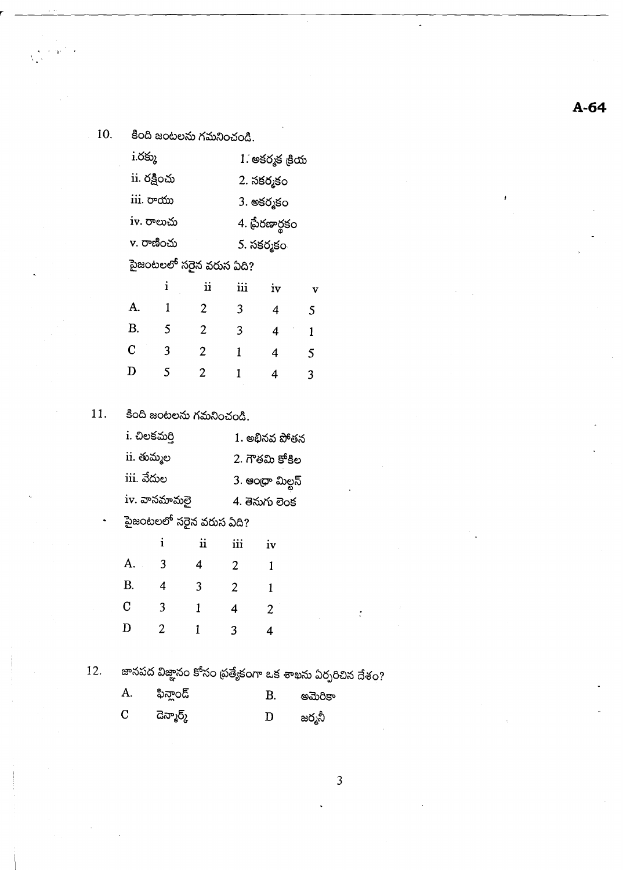10.

فالأعوام

కింది జంటలను గమనించండి.

| $i$ .රඡා       |              |                         | 1. అకర్మక <sub>కీ</sub> య |            |   |  |
|----------------|--------------|-------------------------|---------------------------|------------|---|--|
|                | ii. రక్షించు |                         | 2. సకర్మకం                |            |   |  |
|                | iii. రాయు    |                         |                           | 3. అకర్మకం |   |  |
|                | iv. రాలుచు   |                         | 4. ప్రేరణార్థకం           |            |   |  |
|                | v. రాణించు   |                         |                           | 5. సకర్మకం |   |  |
|                |              | పైజంటలలో సరైన వరుస ఏది? |                           |            |   |  |
|                | i            | $\ddot{\mathbf{u}}$     | iii                       | iv         | v |  |
| А.             | 1            | 2                       | 3                         | 4          | 5 |  |
| В.             | 5            | 2                       | 3                         | 4          | 1 |  |
| $\overline{C}$ | 3            | 2                       | 1                         | 4          | 5 |  |
| D              | 5            | 2                       | 1                         | 4          | 3 |  |

కింది జంటలను గమనించండి. 11.

| i. చిలకమర్తి            | 1. అభినవ పోతన   |
|-------------------------|-----------------|
| ii. తుమ్మల              | 2. గౌతమి కోకిల  |
| iii. వేదుల              | 3. ఆంధా మిల్టన్ |
| iv. వానమామలై            | 4. తెనుగు లెంక  |
| పైజంటలలో సరైన వరుస ఏది? |                 |

|   | ii | iіi | iv |
|---|----|-----|----|
| 3 | 4  | 2   | 1  |
| 4 | 3  | 2   | 1  |
| 3 | 1  | 4   | 2  |
| 2 |    | 3   | 4  |
|   |    |     |    |

12.

జానపద విజ్ఞానం కోసం ప్రత్యేకంగా ఒక శాఖను ఏర్పరిచిన దేశం?

 $\ddot{\cdot}$ 

 $\mathfrak{Z}$ 

| A.          | ఫిన్హాండ్  | В. | అమెరికా |
|-------------|------------|----|---------|
| $\mathbf C$ | దెన్మార్క్ | D  | జర్మనీ  |

 $A-64$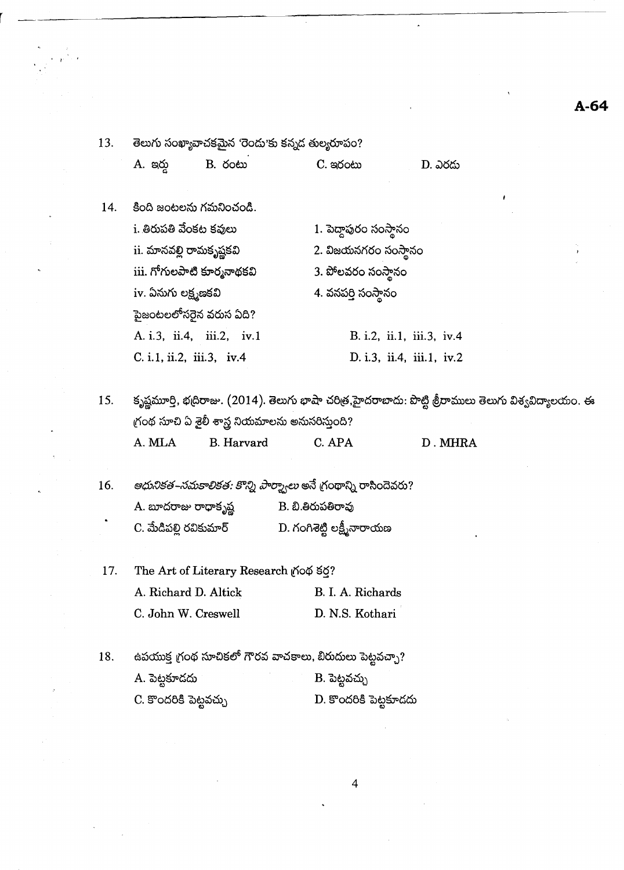# $A-64$

 $\hat{\lambda}$ 

| 13.<br>తెలుగు సంఖ్యావాచకమైన 'రెందు'కు కన్నద తుల్యరూపం?   |            |                                                                                 |                                                                                                          |
|----------------------------------------------------------|------------|---------------------------------------------------------------------------------|----------------------------------------------------------------------------------------------------------|
| A. ఇర్తు                                                 | B. రంటు    | C. ಇරංහ                                                                         | D. ఎరదు                                                                                                  |
| కింది జంటలను గమనించండి.<br>14.                           |            |                                                                                 |                                                                                                          |
| i. తిరుపతి వేంకట కవులు                                   |            | 1. పెద్దాపురం సంస్థానం                                                          |                                                                                                          |
| ii. మానవల్లి రామకృష్ణకవి                                 |            | 2. విజయనగరం సంస్థానం                                                            |                                                                                                          |
| iii. గోగులపాటి కూర్మనాథకవి                               |            | 3. పోలవరం సంస్థానం                                                              |                                                                                                          |
| iv. ఏనుగు లక్ష్మణకవి                                     |            | 4. వనపర్తి సంస్థానం                                                             |                                                                                                          |
| పైజంటలలోసరైన వరుస ఏది?                                   |            |                                                                                 |                                                                                                          |
| A. i.3, ii.4, iii.2, iv.1                                |            |                                                                                 | B. i.2, ii.1, iii.3, iv.4                                                                                |
| C. i.1, ii.2, iii.3, iv.4                                |            |                                                                                 | D. i.3, ii.4, iii.1, iv.2                                                                                |
| 15.<br>గ్రంథ సూచి ఏ శైలీ శాస్త్ర నియమాలను అనుసరిస్తుంది? |            |                                                                                 | కృష్ణమూర్తి, భద్రిరాజు. (2014). తెలుగు భాషా చరిత్ర,హైదరాబాదు: పొట్టి శ్రీరాములు తెలుగు విశ్వవిద్యాలయం. ఈ |
| A. MLA<br>16.                                            | B. Harvard | C. APA<br><i>ఆధునికత–సమకాలికత: కొన్ని పార్మ్వాలు</i> అనే గ్రంథాన్ని రాసిందెవరు? | D. MHRA                                                                                                  |
| A. బూదరాజు రాధాకృష్ణ                                     |            | B. బి.తిరుపతిరావు                                                               |                                                                                                          |
| C. మేడిపల్లి రవికుమార్                                   |            | D. గంగిశెట్టి లక్ష్మీనారాయణ                                                     |                                                                                                          |
| The Art of Literary Research గ్రంథ కర?<br>17.            |            |                                                                                 |                                                                                                          |
| A. Richard D. Altick                                     |            | B. I. A. Richards                                                               |                                                                                                          |
| C. John W. Creswell                                      |            | D. N.S. Kothari                                                                 |                                                                                                          |
| 18.                                                      |            | ఉపయుక్త గ్రంథ సూచికలో గౌరవ వాచకాలు, బిరుదులు పెట్టవచ్చా?                        |                                                                                                          |
| A. పెట్టకూదదు                                            |            | B. పెట్టవచ్చు                                                                   |                                                                                                          |

 $\mathbf{v}$ 

 $\sim$   $\sim$ 

 $\begin{array}{c} \mathcal{B}_1 = \mathcal{B}_1 \\ \mathcal{B}_2 = \frac{1}{\sqrt{2}} \mathcal{B}_2 \mathcal{B}_1 \\ \mathcal{B}_1 = \frac{1}{\sqrt{2}} \mathcal{B}_2 \mathcal{B}_2 \mathcal{B}_1 \mathcal{B}_2 \mathcal{B}_2 \mathcal{B}_3 \mathcal{B}_4 \mathcal{B}_5 \mathcal{B}_6 \mathcal{B}_7 \mathcal{B}_8 \mathcal{B}_8 \mathcal{B}_9 \mathcal{B}_9 \mathcal{B}_9 \mathcal{B}_9 \mathcal{B}_9 \mathcal{B}_9 \mathcal{B}_9 \mathcal{B}_9 \mathcal{B}_$ 

 $\sim 10$ 

 $\ddot{\phantom{0}}$ 

 $\ddot{\phantom{0}}$ 

 $\ddot{\phantom{0}}$ 

 $\sigma_{\rm{max}}$ 

 $\sim$ 

 $\ddot{\phantom{0}}$ 

 $\overline{\phantom{a}}$ 

 $\overline{4}$ 

 $\ddot{\phantom{0}}$ 

 $\hat{\boldsymbol{\beta}}$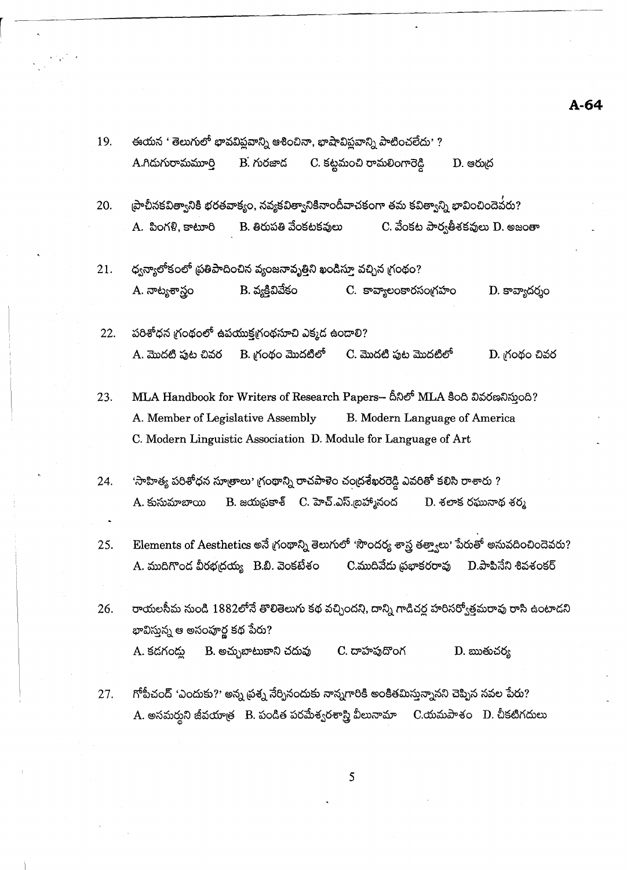ఈయన ' తెలుగులో భావవిప్లవాన్ని ఆశించినా, భాషావిప్లవాన్ని పాటించలేదు' ? 19.  $C$ . కట్టమంచి రామలింగారెడ్డి A.గిదుగురామమూరి  $B.$  గురజాద  $D.$  ෂරා $\delta$  $\epsilon$ పాచీనకవిత్వానికి భరతవాక్యం, నవ్యకవిత్వానికినాందీవాచకంగా తమ కవిత్వాన్ని భావించిందెవురు? 20. A. సింగళి, కాటూరి B. తిరుపతి వేంకటకవులు  $C$ . వేంకట పార్వతీశకవులు  $D$ . అజంతా 21. ధ్వన్యాలోకంలో ప్రతిపాదించిన వ్యంజనావృత్తిని ఖండిస్తూ వచ్చిన గ్రంథం?  $B.$  వ్యక్తివివేకం A. నాట్యశాస్త్రం C. కావ్యాలంకారసంగ్రహం  $D.$  కావ్యాదర్శం పరిశోధన గ్రంథంలో ఉపయుక్తగ్రంథసూచి ఎక్కడ ఉండాలి?  $22.$ A. మొదటి పుట చివర B. గ్రంథం మొదటిలో C. మొదటి పుట మొదటిలో D. గ్రంథం చివర MLA Handbook for Writers of Research Papers- దీనిలో MLA కింది వివరణనిస్తుంది? 23. A. Member of Legislative Assembly B. Modern Language of America C. Modern Linguistic Association D. Module for Language of Art 'సాహిత్య పరిశోధన సూత్రాలు' గ్రంథాన్ని రాచపాళెం చంద్రశేఖరరెడ్డి ఎవరితో కలిసి రాశారు ? 24. B. జయద్రకాశ్ C. హెచ్.ఎస్.బహ్మానంద A. కుసుమాబాయి D. శలాక రఘునాథ శర్మ Elements of Aesthetics అనే గ్రంథాన్ని తెలుగులో 'సౌందర్య శాస్త్ర తత్త్వాలు' పేరుతో అనువదించిందెవరు? 25. C.ముదివేదు ప్రభాకరరావు  $D.\partial$ ాపినేని శివశంకర్ A. ముదిగొంద వీరభద్రయ్య B.బి. వెంకటేశం రాయలసీమ నుండి 1882లోనే తొలితెలుగు కథ వచ్చిందని, దాన్ని గాడిచర్ల హరిసర్వోత్తమరావు రాసి ఉంటాదని 26. భావిస్తున్న ఆ అసంపూర్ణ కథ పేరు? D. ఋతుచర్య A. కడగండ్తు B. అచ్చుబాటుకాని చదువు C. దాహపుదొంగ గోపీచంద్ 'ఎందుకు?' అన్న ప్రశ్న నేర్పినందుకు నాన్నగారికి అంకితమిస్తున్నానని చెప్పిన నవల పేరు? 27. A. అసమర్శని జీవయాత్ర B. పండిత పరమేశ్వరశాస్త్రి వీలునామా C.యమపాశం D. చీకటిగదులు

5

 $A - 64$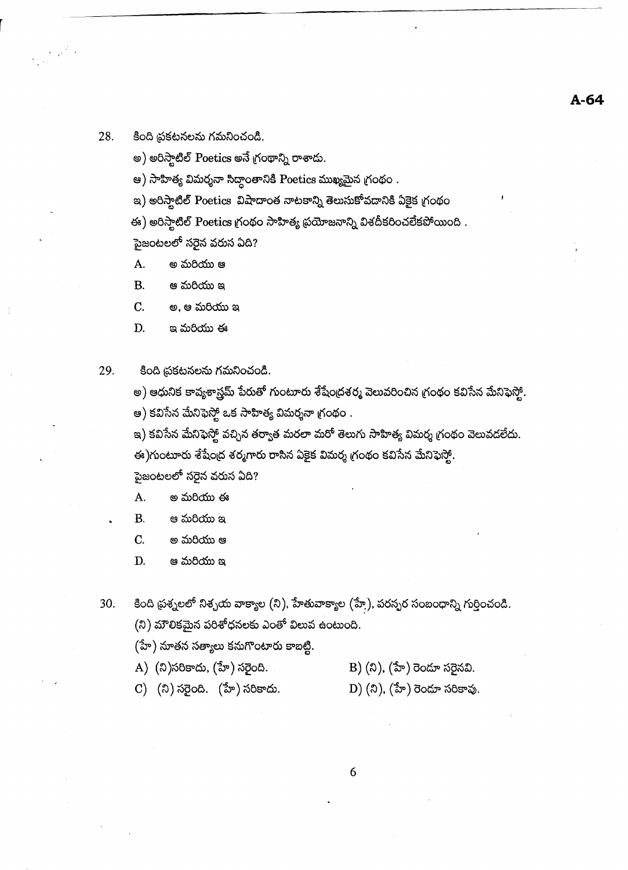#### 28. కింది ప్రకటనలను గమనించండి.

 $\epsilon_{\rm eff}^{(2)}$ 

అ) అరిస్టాటిల్ Poetics అనే గ్రంథాన్ని రాశాదు.

ఆ) సాహిత్య విమర్శనా సిద్ధాంతానికి Poetics ముఖ్యమైన గ్రంథం .

ఇ) అరిస్టాటిల్ Poetics విషాదాంత నాటకాన్ని తెలుసుకోవడానికి ఏకైక గ్రంథం

ఈ) అరిస్టాటిల్ Poetics గ్రంథం సాహిత్య ప్రయోజనాన్ని విశదీకరించలేకపోయింది . పైజంటలలో <mark>సరైన వరుస</mark> ఏది?

- A. అ మరియు ఆ
- **B.** ఆ మరియు ఇ

 $C_{\cdot}$ అ, ఆ మరియు ఇ

D. ఇ మరియు ఈ

29. కింది ప్రకటనలను గమనించండి.

> అ) ఆధునిక కావ్యశాస్త్రమ్ పేరుతో గుంటూరు శేషేంద్రశర్మ వెలువరించిన గ్రంథం కవిసేన మేనిఫెస్టో. ఆ) కవిసేన మేనిఫెస్త్లో ఒక సాహిత్య విమర్శనా గ్రంథం .

ఇ) కవిసేన మేనిఫెస్టో వచ్చిన తర్వాత మరలా మరో తెలుగు సాహిత్య విమర్శ గ్రంథం వెలువడలేదు. ఈ)గుంటూరు శేషేంద్ర శర్మగారు రాసిన ఏకైక విమర్శ గ్రంథం కవిసేన మేనిఫెస్తో. పైజంటలలో <mark>సరైన వరుస ఏద</mark>ి?

- A. అ మరియు ఈ
- ఆ మరియు ఇ **B.**
- $C<sub>1</sub>$ అ మరియు ఆ
- D. ఆ మరియు ఇ

కింది ప్రశ్నలలో నిశ్చయ వాక్యాల (ని), హేతువాక్యాల (హే), పరస్పర సంబంధాన్ని గుర్తించండి. 30.  $(3)$  మౌలికమైన పరిశోధనలకు ఎంతో విలువ ఉంటుంది.

- (హే) నూతన సత్యాలు కనుగొంటారు కాబట్టి.
- A) (ని)సరికాదు, (హే) సరైంది.
	- B)  $(3)$ ,  $(3\pi)$  రెండూ సరైనవి.
- C) (ని) సరైంది. (హే) సరికాదు.
- $D)$  (ని), (హే) రెండూ సరికావు.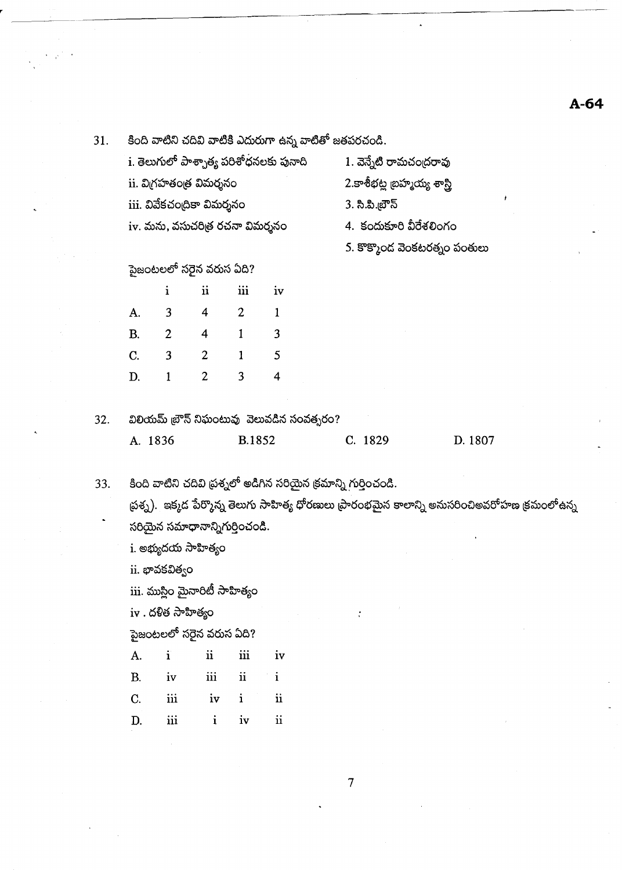$A-64$ 

| 31. |             | కింది వాటిని చదివి వాటికి ఎదురుగా ఉన్న వాటితో జతపరచండి. |                                  |                     |                                            |                                                                  |                                                                                                  |  |  |  |
|-----|-------------|---------------------------------------------------------|----------------------------------|---------------------|--------------------------------------------|------------------------------------------------------------------|--------------------------------------------------------------------------------------------------|--|--|--|
|     |             |                                                         |                                  |                     | i. తెలుగులో పాశ్చాత్య పరిశోధనలకు పునాది    | 1. వెన్నేటి రామచంద్రరావు                                         |                                                                                                  |  |  |  |
|     |             |                                                         | ii. విగ్రహతంత్ర విమర్శనం         |                     |                                            | 2.కాశీభట్ల బ్రహ్మయ్య శాస్త్రి                                    |                                                                                                  |  |  |  |
|     |             |                                                         | iii. వివేకచంద్రికా విమర్శనం      |                     |                                            | 3. సి.పి.బ్రౌన్                                                  |                                                                                                  |  |  |  |
|     |             |                                                         | iv. మను, వసుచరిత్ర రచనా విమర్శనం |                     |                                            |                                                                  | 4. కందుకూరి వీరేశలింగం                                                                           |  |  |  |
|     |             |                                                         |                                  |                     |                                            | 5. కొక్కొంద వెంకటరత్నం పంతులు                                    |                                                                                                  |  |  |  |
|     |             |                                                         | పైజంటలలో సరైన వరుస ఏది?          |                     |                                            |                                                                  |                                                                                                  |  |  |  |
|     |             | $\mathbf{i}$                                            | $\mathbf{ii}$                    | $\ddot{\mathbf{m}}$ | iv                                         |                                                                  |                                                                                                  |  |  |  |
|     | A.          | 3                                                       | $\overline{4}$                   | $\overline{2}$      | $\mathbf{1}$                               |                                                                  |                                                                                                  |  |  |  |
|     | <b>B.</b>   | $\overline{2}$                                          | $\overline{4}$                   | $\mathbf{1}$        | 3                                          |                                                                  |                                                                                                  |  |  |  |
|     | $C_{\cdot}$ | 3                                                       | $\overline{2}$                   | $\mathbf{1}$        | 5                                          |                                                                  |                                                                                                  |  |  |  |
|     | D.          | $\mathbf{1}$                                            | $\overline{2}$                   | 3                   | $\overline{4}$                             |                                                                  |                                                                                                  |  |  |  |
|     |             |                                                         |                                  |                     |                                            |                                                                  |                                                                                                  |  |  |  |
| 32. |             |                                                         |                                  |                     | విలియమ్ బ్రౌన్ నిఘంటువు వెలువడిన సంవత్సరం? |                                                                  |                                                                                                  |  |  |  |
|     | A. 1836     |                                                         |                                  | B.1852              |                                            | C. 1829                                                          | D. 1807                                                                                          |  |  |  |
|     |             |                                                         |                                  |                     |                                            |                                                                  |                                                                                                  |  |  |  |
| 33. |             |                                                         |                                  |                     |                                            | కింది వాటిని చదివి ప్రశ్నలో అడిగిన సరియైన క్రమాన్ని గుర్తించండి. |                                                                                                  |  |  |  |
|     |             |                                                         |                                  |                     |                                            |                                                                  | ప్రశ్న).  ఇక్కడ పేర్కొన్న తెలుగు సాహిత్య ధోరణులు ప్రారంభమైన కాలాన్ని అనుసరించిఅవరోహణ క్రమంలోఉన్న |  |  |  |
|     |             |                                                         | సరియైన సమాధానాన్నిగుర్తించండి.   |                     |                                            |                                                                  |                                                                                                  |  |  |  |
|     |             |                                                         | i. అభ్యుదయ సాహిత్యం              |                     |                                            |                                                                  |                                                                                                  |  |  |  |
|     |             | ii. భావకవిత్వం                                          |                                  |                     |                                            |                                                                  |                                                                                                  |  |  |  |
|     |             |                                                         | iii. ముస్లిం మైనారిటీ సాహిత్యం   |                     |                                            |                                                                  |                                                                                                  |  |  |  |
|     |             | $iv$ . దళిత సాహిత్యం                                    |                                  |                     |                                            |                                                                  |                                                                                                  |  |  |  |
|     |             |                                                         | పైజంటలలో సరైన వరుస ఏది?          |                     |                                            |                                                                  |                                                                                                  |  |  |  |
|     | A.          | $\ddot{\mathbf{i}}$                                     | $\mathbf{ii}$                    | iii                 | iv                                         |                                                                  |                                                                                                  |  |  |  |
|     | <b>B.</b>   | iv                                                      | $\overline{\text{iii}}$          | $\ddot{\mathbf{u}}$ | $\mathbf{i}$                               |                                                                  |                                                                                                  |  |  |  |
|     | C.          | $\rm iii$                                               | iv                               | $\mathbf{i}$        | $\ddot{\mathbf{u}}$                        |                                                                  |                                                                                                  |  |  |  |
|     | D.          | $\rm iii$                                               | $\mathbf{i}$                     | iv                  | $\rm ii$                                   |                                                                  |                                                                                                  |  |  |  |

 $\mathbf{r}^{\prime}$ 

 $\ddot{\phantom{a}}$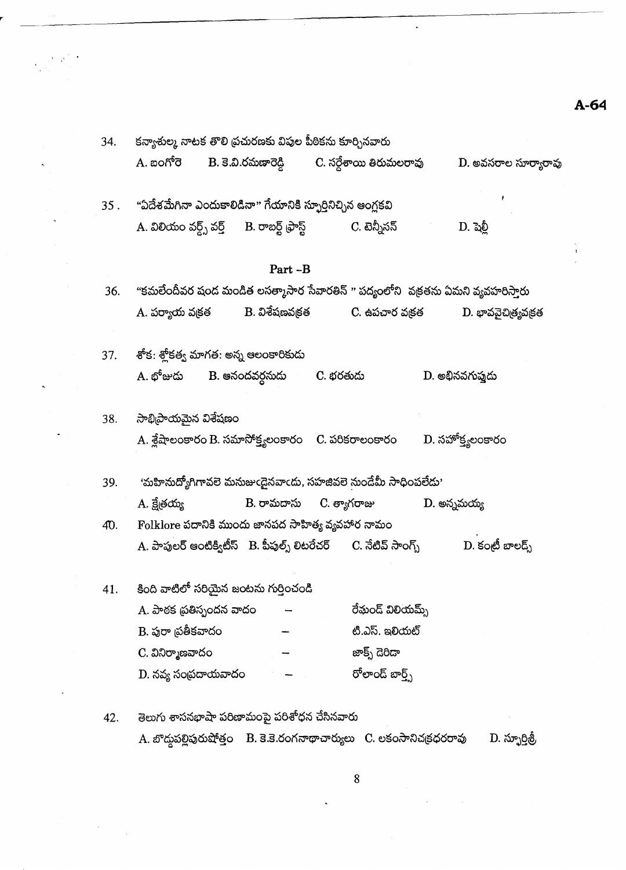| 34. | కన్యాశుల్క నాటక తొలి ప్రచురణకు విపుల పీఠికను కూర్చినవారు                                                      |                                                      |                      |  |  |  |  |
|-----|---------------------------------------------------------------------------------------------------------------|------------------------------------------------------|----------------------|--|--|--|--|
|     | A. బంగోరె                                                                                                     | B. కె.వి.రమణారెడ్డి          C. సర్దేశాయి తిరుమలరావు | D. అవసరాల సూర్యారావు |  |  |  |  |
|     | 35 .     "ఏదేశమేగినా ఎందుకాలిడినా" గేయానికి స్ఫూర్తినిచ్చిన ఆంగ్లకవి                                          |                                                      |                      |  |  |  |  |
|     | A. విలియం వర్డ్స్ వర్త్      B. రాబర్ట్ ఫ్రాస్ట్               C. టెన్నీసన్                                   |                                                      | D. షెల్లీ            |  |  |  |  |
|     | Part-B                                                                                                        |                                                      |                      |  |  |  |  |
| 36. | "కమలేందీవర షండ మండిత లసత్మాసార సేవారతిన్ " పద్యంలోని  వక్రతను ఏమని వ్యవహరిస్తారు                              |                                                      |                      |  |  |  |  |
|     | A. పర్యాయ వ <sub>క్</sub> కత         B. విశేషణవక్రత            C. ఉపచార వక్రత            D. భావవైచిత్ర్యవక్రత |                                                      |                      |  |  |  |  |
| 37. | శోక: శ్లోకత్వ మాగత: అన్న ఆలంకారికుడు                                                                          |                                                      |                      |  |  |  |  |
|     | A. భోజుడు      B. ఆనందవర్గనుడు       C. భరతుడు                                                                |                                                      | D. అభినవగుప్తుడు     |  |  |  |  |
| 38. | సాభిప్రాయమైన విశేషణం                                                                                          |                                                      |                      |  |  |  |  |
|     | A. శ్లేషాలంకారం B. సమాసోక్త్యలంకారం     C. పరికరాలంకారం                                                       |                                                      | $D.$ సహోక్త్యలంకారం  |  |  |  |  |
| 39. | 'మహినుద్యోగిగావలె మనుజుఁడైనవాఁదు, సహజివలె నుండేమీ సాధింపలేదు'                                                 |                                                      |                      |  |  |  |  |
|     | A. క్షేత్రయ్య                                                                                                 | B. రామదాసు      C. త్యాగరాజు                         | D. అన్నమయ్య          |  |  |  |  |
| 40. | Folklore పదానికి ముందు జానపద సాహిత్య వ్యవహార నామం                                                             |                                                      |                      |  |  |  |  |
|     | A. పాపులర్ ఆంటిక్విటీస్   B. పీపుల్స్ లిటరేచర్       C. నేటివ్ సాంగ్స్                                        |                                                      | D. కంటీ బాలడ్స్      |  |  |  |  |
| 41. | కింది వాటిలో సరియైన జంటను గుర్తించండి                                                                         |                                                      |                      |  |  |  |  |
|     | A. పాఠక ప్రతిస్పందన వాదం                                                                                      | రేమండ్ విలియమ్స్                                     |                      |  |  |  |  |
|     | $\mathbf B$ . పురా ప్రతీకవాదం                                                                                 | టి.ఎస్. ఇలియట్                                       |                      |  |  |  |  |
|     | C. వినిర్మాణవాదం                                                                                              | జాక్స్ దెరిడా                                        |                      |  |  |  |  |
|     | D. నవ్య సంప్రదాయవాదం                                                                                          | రోలాండ్ బార్త్స్                                     |                      |  |  |  |  |
| 42. | తెలుగు శాసనభాషా పరిణామంపై పరిశోధన చేసినవారు                                                                   |                                                      |                      |  |  |  |  |
|     | A. బొద్దపల్లిపురుషోత్తం B. కె.కె.రంగనాథాచార్యులు C. లకంసానిచక్రధరరావు                                         |                                                      | D. స్ఫూర్తిత్రీ      |  |  |  |  |

 $\ddot{\phantom{0}}$ 

 $\sim$   $\sim$ 

 $\ddot{\phantom{0}}$ 

A-64

ÿ

8

 $\ddot{\phantom{0}}$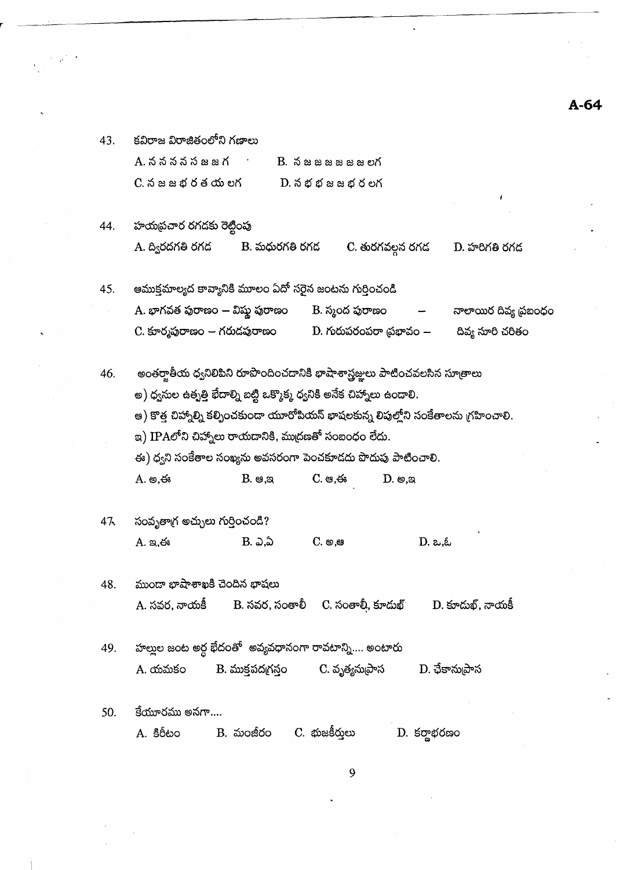కవిరాజ విరాజితంలోని గణాలు A. ననననసజజగ  $B.$   $\delta$   $\alpha$   $\alpha$   $\alpha$   $\alpha$   $\alpha$   $\alpha$   $\alpha$  $C.$   $\delta$   $\approx$   $\approx$   $\delta$   $\delta$   $\delta$   $\propto$   $\delta$  $D.$   $\delta$   $\n *z*$   $\delta$   $\simeq$   $\delta$   $\delta$   $\simeq$   $\delta$ 

43.

#### హయప్రచార రగడకు రెట్టింపు 44. A. ద్విరదగతి రగడ B. మధురగతి రగద  $D.$  హరిగతి రగడ C. తురగవల్గన రగడ

ఆముక్తమాల్యద కావ్యానికి మూలం ఏదో సరైన జంటను గుర్తించండి 45. A. భాగవత పురాణం — విష్ణ పురాణం B. స్మంద పురాణం నాలాయిర దివ్య ప్రబంధం దివ్య సూరి చరితం C. కూర్మపురాణం *—* గరుడపురాణం  $D.$  గురుపరంపరా (పభావం  $-$ 

అంతర్వాతీయ ధ్వనిలిపిని రూపొందించడానికి భాషాశాస్త్రజ్ఞులు పాటించవలసిన సూత్రాలు 46. అ) ధ్వనుల ఉత్పత్తి భేదాల్ని బట్టి ఒక్కొక్క ధ్వనికి అనేక చిహ్నాలు ఉండాలి. అ) కొత్త చిహ్నాల్ని కల్పించకుండా యూరోపియన్ భాషలకున్న లిపుల్హోని సంకేతాలను గ్రహించాలి. ఇ) IPAలోని చిహ్నాలు రాయదానికి, ముద్రణతో సంబంధం లేదు. ఈ) ధ్వని సంకేతాల సంఖ్యను అవసరంగా పెంచకూడదు పొదుపు పాటించాలి. A. అ.ఈ  $B.$   $\mathfrak{g}, \mathfrak{g}$  $C.$   $\Leftrightarrow$ ,  $\Leftrightarrow$  $D.$   $\otimes$ , $\otimes$ 

- 47. సంవృతాగ్ర అచ్చులు గుర్తించండి? B. ఎ.ఏ  $C.$  හ.ෂ  $A. \infty$ .  $D. \alpha, \&$
- 48. ముందా భాషాశాఖకి చెందిన భాషలు A. సవర, నాయకీ B. సవర, సంతాలీ C. సంతాలీ, కూదుఖ్  $D.$  కూదుఖ్, నాయకీ
- హల్లుల జంట అర్ధ భేదంతో అవ్యవధానంగా రావటాన్ని.... అంటారు 49. A. యమకం B. ముక్తపదగ్రస్తం C. వృత్యనుµ్రాస D. ఛేకాను(పాస
- $50<sub>1</sub>$ కేయూరము అనగా....  $B.$  మంజీరం  $C.$  భుజకీరులు A. కిరీటం D. కర్ణాభరణం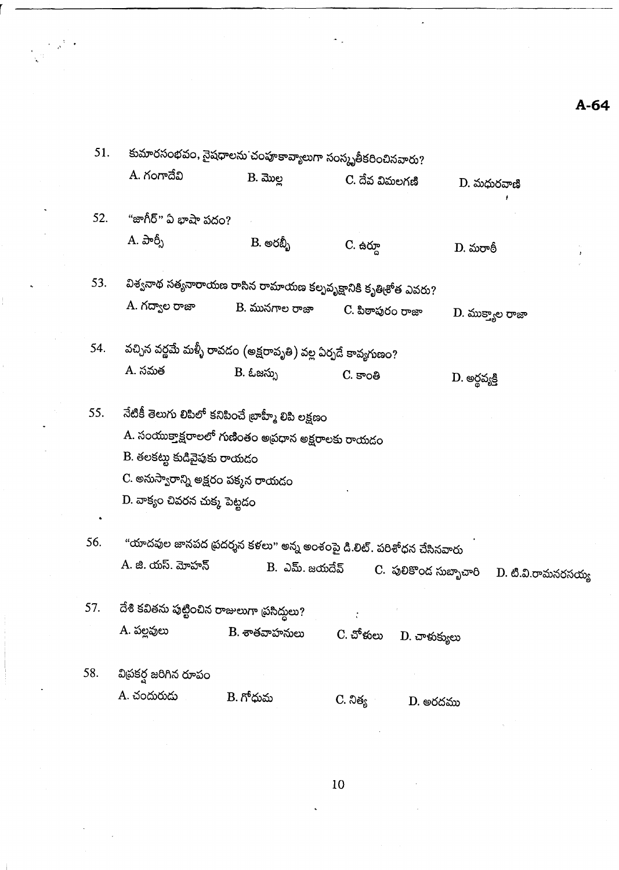| 51. |                                             | కుమారసంభవం, నైషధాలను చంహ్రకావ్యాలుగా సంస్కృతీకరించినవారు?     |                                                                             |                    |  |  |  |  |  |
|-----|---------------------------------------------|---------------------------------------------------------------|-----------------------------------------------------------------------------|--------------------|--|--|--|--|--|
|     | A. గంగాదేవి                                 | $B.$ మొల్ల                                                    | C. దేవ విమలగణి                                                              | D. మధురవాణి        |  |  |  |  |  |
| 52. | "జాగీర్" ఏ భాషా పదం?                        |                                                               |                                                                             |                    |  |  |  |  |  |
|     | A. పార్పీ                                   | B. అరబ్బీ                                                     | $C.$ ఉర్నూ                                                                  | D. మరాఠీ           |  |  |  |  |  |
| 53. |                                             |                                                               | విశ్వనాథ సత్యనారాయణ రాసిన రామాయణ కల్పవృక్షానికి కృతి <sub>(</sub> శోత ఎవరు? |                    |  |  |  |  |  |
|     | A. గద్వాల రాజా                              | B. మునగాల రాజా                                                | C. పిఠాపురం రాజా                                                            | D. ముక్త్యాల రాజా  |  |  |  |  |  |
| 54. |                                             | వచ్చిన వర్ణమే మళ్ళీ రావడం (అక్షరావృతి) వల్ల ఏర్పదే కావ్యగుణం? |                                                                             |                    |  |  |  |  |  |
|     | A. సమత                                      | B. ఓజస్సు                                                     | C. కాంతి                                                                    | D. అర్థవ్యక్తి     |  |  |  |  |  |
| 55. |                                             | నేటికీ తెలుగు లిపిలో కనిపించే బాహ్మీ లిపి లక్షణం              |                                                                             |                    |  |  |  |  |  |
|     |                                             | A. సంయుక్తాక్షరాలలో గుణింతం అప్రధాన అక్షరాలకు రాయడం           |                                                                             |                    |  |  |  |  |  |
|     | B. తలకట్టు కుడివైపుకు రాయడం                 |                                                               |                                                                             |                    |  |  |  |  |  |
|     | C. అనుస్వారాన్ని అక్షరం పక్కన రాయడం         |                                                               |                                                                             |                    |  |  |  |  |  |
|     |                                             | D. వాక్యం చివరన చుక్క పెట్టడం                                 |                                                                             |                    |  |  |  |  |  |
| 56. |                                             |                                                               | "యాదవుల జానపద ప్రదర్శన కళలు" అన్న అంశంపై డి.లిట్. పరిశోధన చేసినవారు         |                    |  |  |  |  |  |
|     | A. జి. యస్. మోహన్                           | B. ఎమ్. జయదేవ్                                                | C. పులికొంద సుబ్బాచారి                                                      | D. టి.వి.రామనరసయ్య |  |  |  |  |  |
| 57. | దేశి కవితను పుట్టించిన రాజులుగా ప్రసిద్ధలు? |                                                               |                                                                             |                    |  |  |  |  |  |
|     | A. పల్లవులు                                 | B. శాతవాహనులు                                                 | C. చోళులు<br>$D.$ చాళుక్యులు                                                |                    |  |  |  |  |  |
| 58. | విప్రకర్ష జరిగిన రూపం                       |                                                               |                                                                             |                    |  |  |  |  |  |
|     | A. చందురుడు                                 | B. గోధుమ                                                      | C. నిత్య<br>D. అరదము                                                        |                    |  |  |  |  |  |
|     |                                             |                                                               |                                                                             |                    |  |  |  |  |  |

l,

 $\hat{\mathcal{P}}$ l,  $\cdot$ 

 $A-64$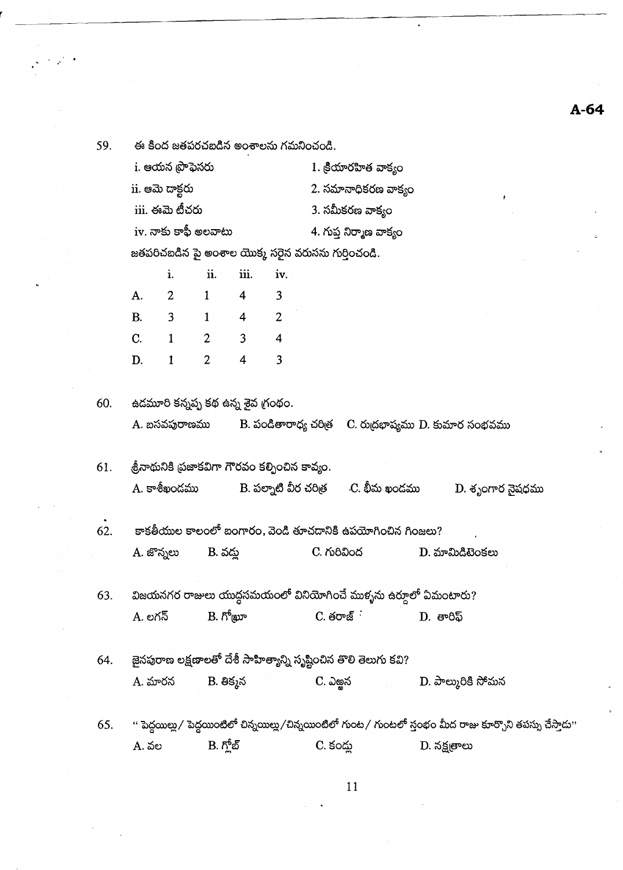59. ఈ కింద జతపరచబడిన అంశాలను గమనించండి. i. ఆయన ప్రొఫెసరు  $1.$  కియారహిత వాక్యం ii. ఆమె దాక్టరు 2. సమానాధికరణ వాక్యం iii. ఈమె టీచరు 3. సమీకరణ వాక్యం  $iv.$  నాకు కాఫీ అలవాటు 4. గుప్త నిర్మాణ వాక్యం జతపరిచబడిన పై అంశాల యొక్క సరైన వరుసను గుర్తించండి. i. ii. iii. iv.  $\overline{2}$  $\mathbf{1}$  $\overline{\mathbf{4}}$  $\overline{3}$ A.  $B<sub>1</sub>$  $\overline{3}$  $\mathbf{1}$  $\overline{4}$  $\overline{2}$  $\overline{C}$ .  $\overline{2}$  $\mathbf{1}$  $\overline{3}$  $\overline{\mathbf{4}}$ D.  $\mathbf{1}$  $\overline{2}$  $\overline{4}$  $\overline{3}$ ఉడమూరి కన్నప్ప కథ ఉన్న శైవ గ్రంథం. 60. A. బసవపురాణము B. పండితారాధ్య చరిత్ర  $\quad$  C. రుద్రభాష్యము D. కుమార సంభవము శ్రీనాథునికి ప్రజాకవిగా గౌరవం కల్పించిన కావ్యం. 61. B. పల్నాటి వీర చరిత్ర A. కాశీఖందము .C. భీమ ఖండము D. శృంగార నైషధము 62. కాకతీయుల కాలంలో బంగారం, వెండి తూచదానికి ఉపయోగించిన గింజలు? A. జొన్నలు C. గురివింద  $D.$  మామిడిటెంకలు B. వద్న విజయనగర రాజులు యుద్దసమయంలో వినియోగించే ముళ్ళను ఉర్కూలో ఏమంటారు? 63.  $B. \hbar^6$ (apro  $C.$  తరాజ్ $\cdot$ A. లగన్  $D.$  తారిఫ్ జైనపురాణ లక్షణాలతో దేశీ సాహిత్యాన్ని సృష్టించిన తొలి తెలుగు కవి? 64. C. ఎఱ్ఱన D. పాల్మురికి సోమన A. మారన  $B.$  తిక్కన '' పెద్దయిల్లు/ పెద్దయింటిలో చిన్నయిల్లు/చిన్నయింటిలో గుంట/ గుంటలో స్తంభం మీద రాజు కూర్చొని తపస్సు చేస్తాదు'' 65.  $B.$   $\tilde{D}^{\delta}_{\alpha}$ නි **A.** వల C. కంద్ల D. నక్షత్రాలు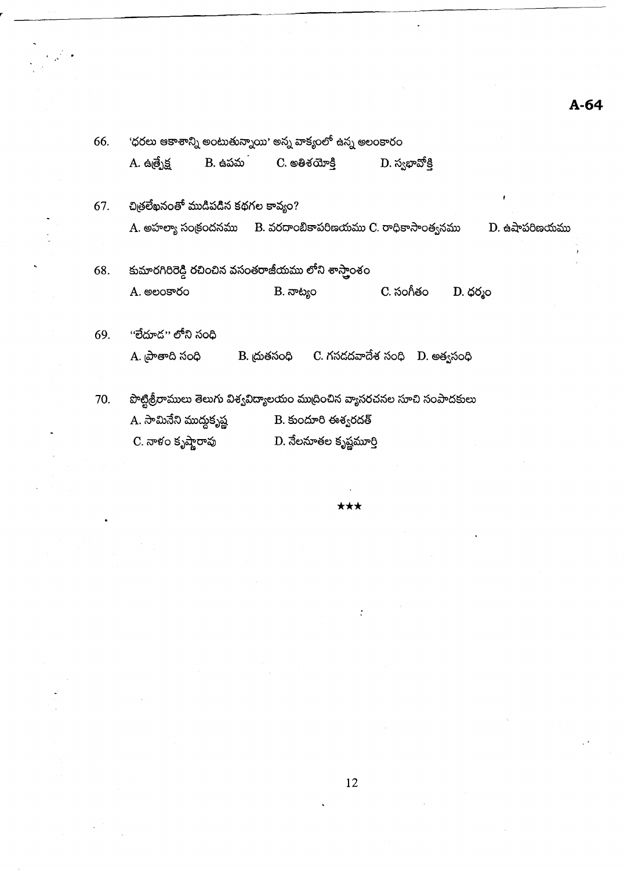| 66. | 'ధరలు ఆకాశాన్ని అంటుతున్నాయి' అన్న వాక్యంలో ఉన్న అలంకారం |                                                                            |                |                |  |  |  |  |
|-----|----------------------------------------------------------|----------------------------------------------------------------------------|----------------|----------------|--|--|--|--|
|     |                                                          | A. ఉత్పేక్ష           B. ఉపమ         C. అతిశయోక్తి                         | D. స్వభావోక్తి |                |  |  |  |  |
| 67. | చిత్రలేఖనంతో ముడిపడిన కథగల కావ్యం?                       |                                                                            |                | ÷              |  |  |  |  |
|     |                                                          | A. అహల్యా సంక్రందనము B. వరదాంబికాపరిణయము C. రాధికాసాంత్యనము                |                | $D.$ ఉషాపరిణయమ |  |  |  |  |
| 68. |                                                          | కుమారగిరిరెడ్డి రచించిన వసంతరాజీయము లోని శాస్తాంశం                         |                |                |  |  |  |  |
|     | A. అలంకారం                                               | B. నాట్యం                                                                  | C. సంగీతం      | $D.$ ధర్మం     |  |  |  |  |
| 69. | ''లేదూడ'' లోని సంది                                      |                                                                            |                |                |  |  |  |  |
|     | A. <sub>l</sub> పాతాది సంధి                              | $\,$ B. ద్రుతసంధి $\,$ C. గసదదవాదేశ సంధి $\,$ D. అత్వసంధి                  |                |                |  |  |  |  |
| 70. |                                                          | పొట్టిశ్రీరాములు తెలుగు విశ్వవిద్యాలయం ముద్రించిన వ్యాసరచనల సూచి సంపాదకులు |                |                |  |  |  |  |
|     | A. సామినేని ముద్దుకృష్ణ                                  | B. కుందూరి ఈశ్వరదత్                                                        |                |                |  |  |  |  |

C. నాళం కృష్ణారావు  $\overline{\mathrm{D}}$ . నేలనూతల కృష్ణమూర్తి

 $\label{eq:2} \frac{1}{\sqrt{2}}\sum_{i=1}^N\frac{1}{i} \frac{1}{i} \frac{1}{i} \frac{1}{i} \frac{1}{i} \frac{1}{i} \frac{1}{i} \frac{1}{i} \frac{1}{i} \frac{1}{i} \frac{1}{i} \frac{1}{i} \frac{1}{i} \frac{1}{i} \frac{1}{i} \frac{1}{i} \frac{1}{i} \frac{1}{i} \frac{1}{i} \frac{1}{i} \frac{1}{i} \frac{1}{i} \frac{1}{i} \frac{1}{i} \frac{1}{i} \frac{1}{i} \frac{1}{i} \frac{1}{$ 

\*\*\*

 $\ddot{\cdot}$